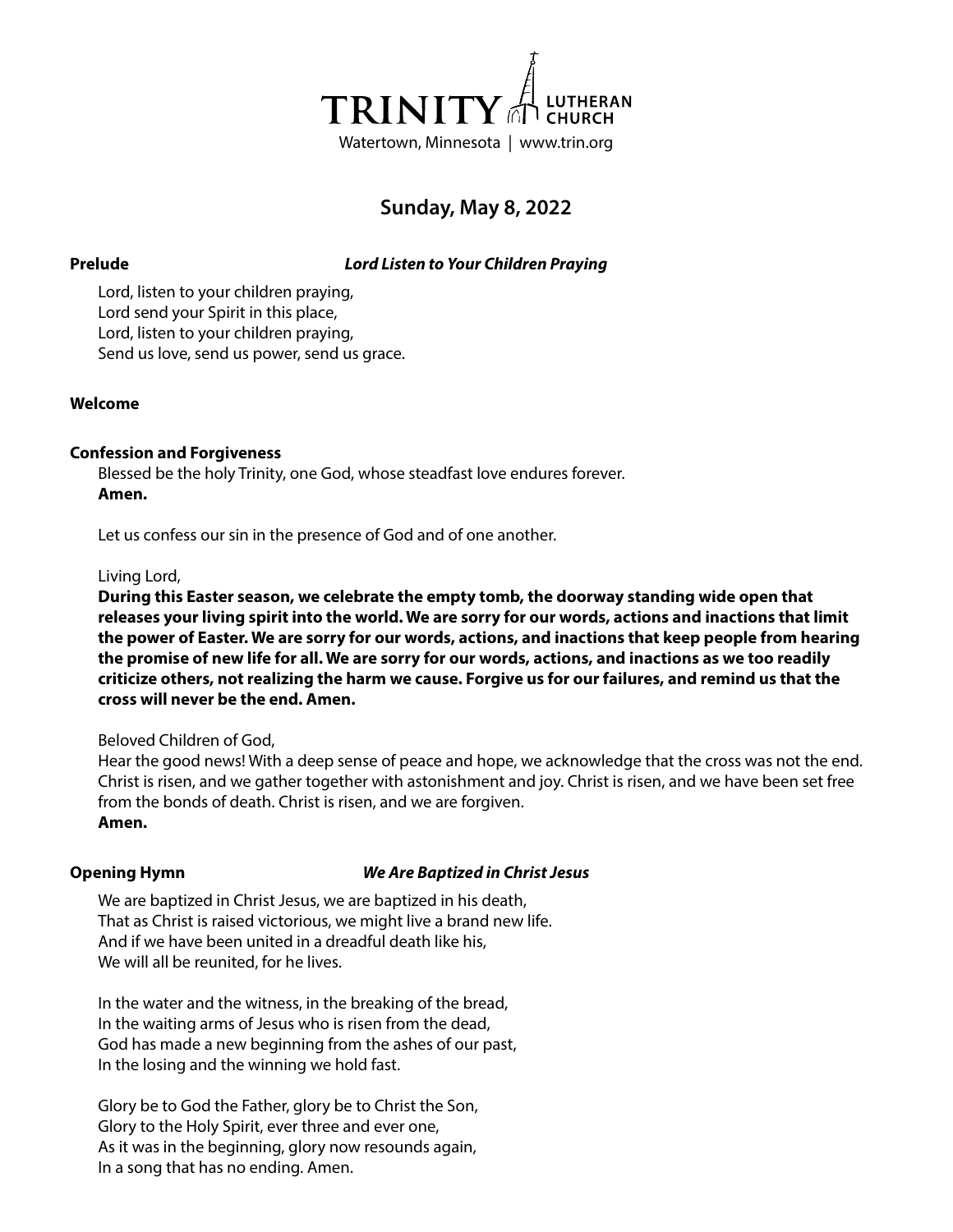

# **Sunday, May 8, 2022**

### **Prelude** *Lord Listen to Your Children Praying*

Lord, listen to your children praying, Lord send your Spirit in this place, Lord, listen to your children praying, Send us love, send us power, send us grace.

### **Welcome**

### **Confession and Forgiveness**

Blessed be the holy Trinity, one God, whose steadfast love endures forever. **Amen.**

Let us confess our sin in the presence of God and of one another.

#### Living Lord,

**During this Easter season, we celebrate the empty tomb, the doorway standing wide open that releases your living spirit into the world. We are sorry for our words, actions and inactions that limit the power of Easter. We are sorry for our words, actions, and inactions that keep people from hearing the promise of new life for all. We are sorry for our words, actions, and inactions as we too readily criticize others, not realizing the harm we cause. Forgive us for our failures, and remind us that the cross will never be the end. Amen.**

Beloved Children of God,

Hear the good news! With a deep sense of peace and hope, we acknowledge that the cross was not the end. Christ is risen, and we gather together with astonishment and joy. Christ is risen, and we have been set free from the bonds of death. Christ is risen, and we are forgiven. **Amen.**

### **Opening Hymn** *We Are Baptized in Christ Jesus*

We are baptized in Christ Jesus, we are baptized in his death, That as Christ is raised victorious, we might live a brand new life. And if we have been united in a dreadful death like his, We will all be reunited, for he lives.

In the water and the witness, in the breaking of the bread, In the waiting arms of Jesus who is risen from the dead, God has made a new beginning from the ashes of our past, In the losing and the winning we hold fast.

Glory be to God the Father, glory be to Christ the Son, Glory to the Holy Spirit, ever three and ever one, As it was in the beginning, glory now resounds again, In a song that has no ending. Amen.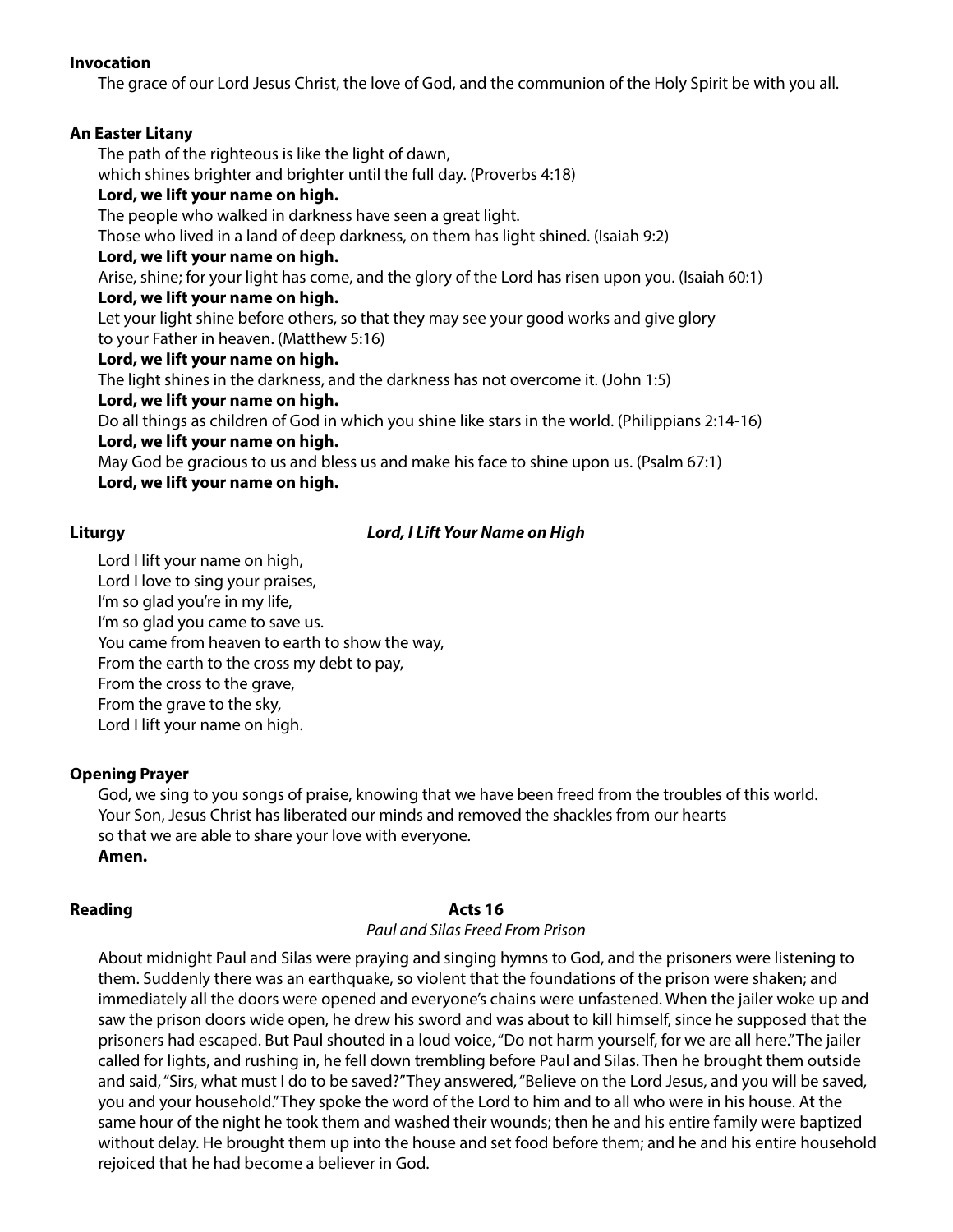# **Invocation**

The grace of our Lord Jesus Christ, the love of God, and the communion of the Holy Spirit be with you all.

# **An Easter Litany**

The path of the righteous is like the light of dawn,

which shines brighter and brighter until the full day. (Proverbs 4:18)

# **Lord, we lift your name on high.**

The people who walked in darkness have seen a great light.

Those who lived in a land of deep darkness, on them has light shined. (Isaiah 9:2)

# **Lord, we lift your name on high.**

Arise, shine; for your light has come, and the glory of the Lord has risen upon you. (Isaiah 60:1)

# **Lord, we lift your name on high.**

Let your light shine before others, so that they may see your good works and give glory to your Father in heaven. (Matthew 5:16)

# **Lord, we lift your name on high.**

The light shines in the darkness, and the darkness has not overcome it. (John 1:5)

# **Lord, we lift your name on high.**

Do all things as children of God in which you shine like stars in the world. (Philippians 2:14-16) **Lord, we lift your name on high.**

May God be gracious to us and bless us and make his face to shine upon us. (Psalm 67:1) **Lord, we lift your name on high.**

# **Liturgy** *Lord, I Lift Your Name on High*

Lord I lift your name on high, Lord I love to sing your praises, I'm so glad you're in my life, I'm so glad you came to save us. You came from heaven to earth to show the way, From the earth to the cross my debt to pay, From the cross to the grave, From the grave to the sky, Lord I lift your name on high.

# **Opening Prayer**

God, we sing to you songs of praise, knowing that we have been freed from the troubles of this world. Your Son, Jesus Christ has liberated our minds and removed the shackles from our hearts so that we are able to share your love with everyone. **Amen.**

# **Reading Acts 16**

# *Paul and Silas Freed From Prison*

About midnight Paul and Silas were praying and singing hymns to God, and the prisoners were listening to them. Suddenly there was an earthquake, so violent that the foundations of the prison were shaken; and immediately all the doors were opened and everyone's chains were unfastened. When the jailer woke up and saw the prison doors wide open, he drew his sword and was about to kill himself, since he supposed that the prisoners had escaped. But Paul shouted in a loud voice, "Do not harm yourself, for we are all here." The jailer called for lights, and rushing in, he fell down trembling before Paul and Silas. Then he brought them outside and said, "Sirs, what must I do to be saved?"They answered, "Believe on the Lord Jesus, and you will be saved, you and your household." They spoke the word of the Lord to him and to all who were in his house. At the same hour of the night he took them and washed their wounds; then he and his entire family were baptized without delay. He brought them up into the house and set food before them; and he and his entire household rejoiced that he had become a believer in God.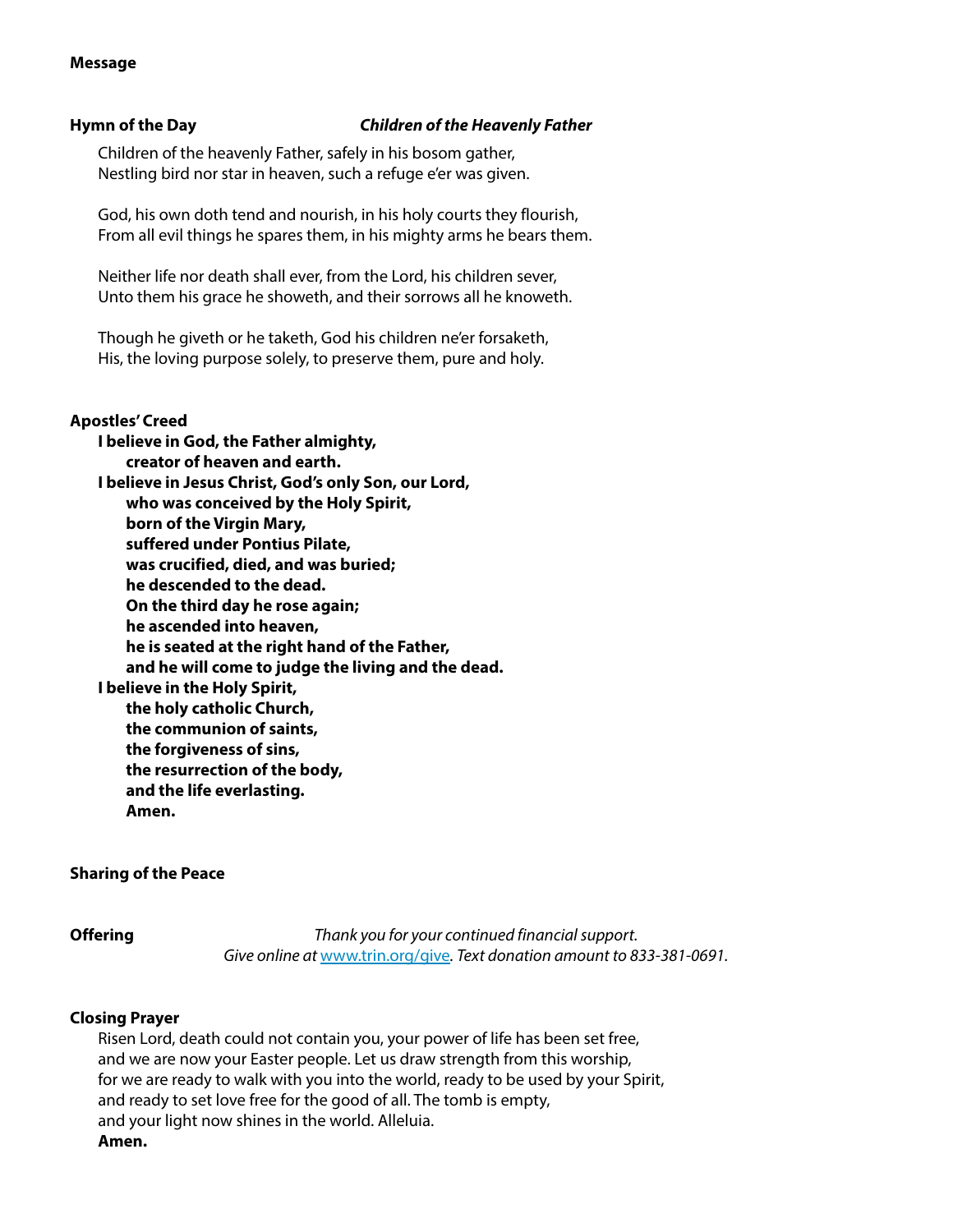#### **Message**

### **Hymn of the Day** *Children of the Heavenly Father*

Children of the heavenly Father, safely in his bosom gather, Nestling bird nor star in heaven, such a refuge e'er was given.

God, his own doth tend and nourish, in his holy courts they flourish, From all evil things he spares them, in his mighty arms he bears them.

Neither life nor death shall ever, from the Lord, his children sever, Unto them his grace he showeth, and their sorrows all he knoweth.

Though he giveth or he taketh, God his children ne'er forsaketh, His, the loving purpose solely, to preserve them, pure and holy.

### **Apostles' Creed**

**I believe in God, the Father almighty, creator of heaven and earth. I believe in Jesus Christ, God's only Son, our Lord, who was conceived by the Holy Spirit, born of the Virgin Mary, suffered under Pontius Pilate, was crucified, died, and was buried; he descended to the dead. On the third day he rose again; he ascended into heaven, he is seated at the right hand of the Father, and he will come to judge the living and the dead. I believe in the Holy Spirit, the holy catholic Church, the communion of saints, the forgiveness of sins, the resurrection of the body, and the life everlasting. Amen.**

# **Sharing of the Peace**

**Offering** *Thank you for your continued financial support. Give online at* www.trin.org/give*. Text donation amount to 833-381-0691.*

### **Closing Prayer**

Risen Lord, death could not contain you, your power of life has been set free, and we are now your Easter people. Let us draw strength from this worship, for we are ready to walk with you into the world, ready to be used by your Spirit, and ready to set love free for the good of all. The tomb is empty, and your light now shines in the world. Alleluia. **Amen.**